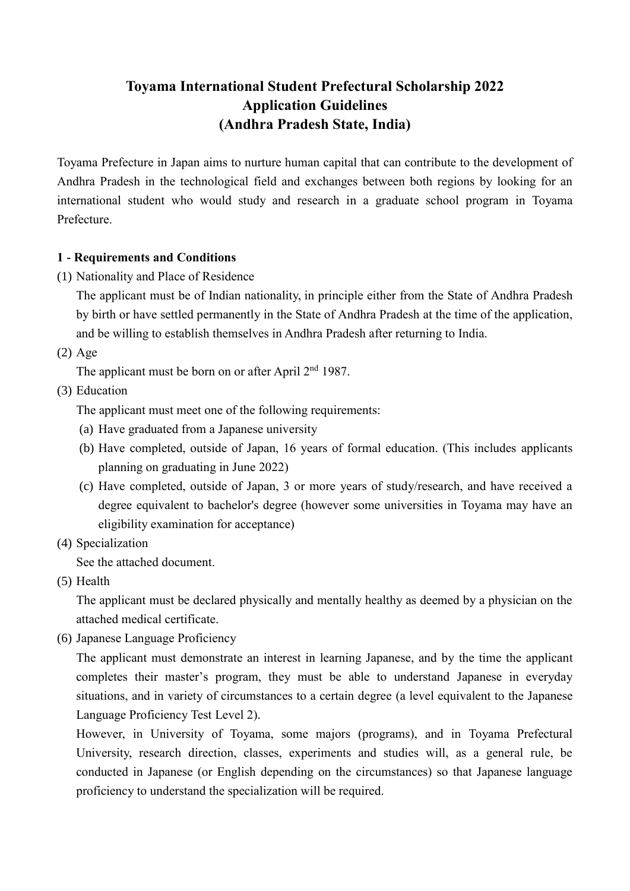# **Toyama International Student Prefectural Scholarship 2022 Application Guidelines (Andhra Pradesh State, India)**

Toyama Prefecture in Japan aims to nurture human capital that can contribute to the development of Andhra Pradesh in the technological field and exchanges between both regions by looking for an international student who would study and research in a graduate school program in Toyama Prefecture.

# **1 - Requirements and Conditions**

(1) Nationality and Place of Residence

The applicant must be of Indian nationality, in principle either from the State of Andhra Pradesh by birth or have settled permanently in the State of Andhra Pradesh at the time of the application, and be willing to establish themselves in Andhra Pradesh after returning to India.

(2) Age

The applicant must be born on or after April  $2<sup>nd</sup> 1987$ .

(3) Education

The applicant must meet one of the following requirements:

- (a) Have graduated from a Japanese university
- (b) Have completed, outside of Japan, 16 years of formal education. (This includes applicants planning on graduating in June 2022)
- (c) Have completed, outside of Japan, 3 or more years of study/research, and have received a degree equivalent to bachelor's degree (however some universities in Toyama may have an eligibility examination for acceptance)
- (4) Specialization

See the attached document.

(5) Health

The applicant must be declared physically and mentally healthy as deemed by a physician on the attached medical certificate.

(6) Japanese Language Proficiency

The applicant must demonstrate an interest in learning Japanese, and by the time the applicant completes their master's program, they must be able to understand Japanese in everyday situations, and in variety of circumstances to a certain degree (a level equivalent to the Japanese Language Proficiency Test Level 2).

However, in University of Toyama, some majors (programs), and in Toyama Prefectural University, research direction, classes, experiments and studies will, as a general rule, be conducted in Japanese (or English depending on the circumstances) so that Japanese language proficiency to understand the specialization will be required.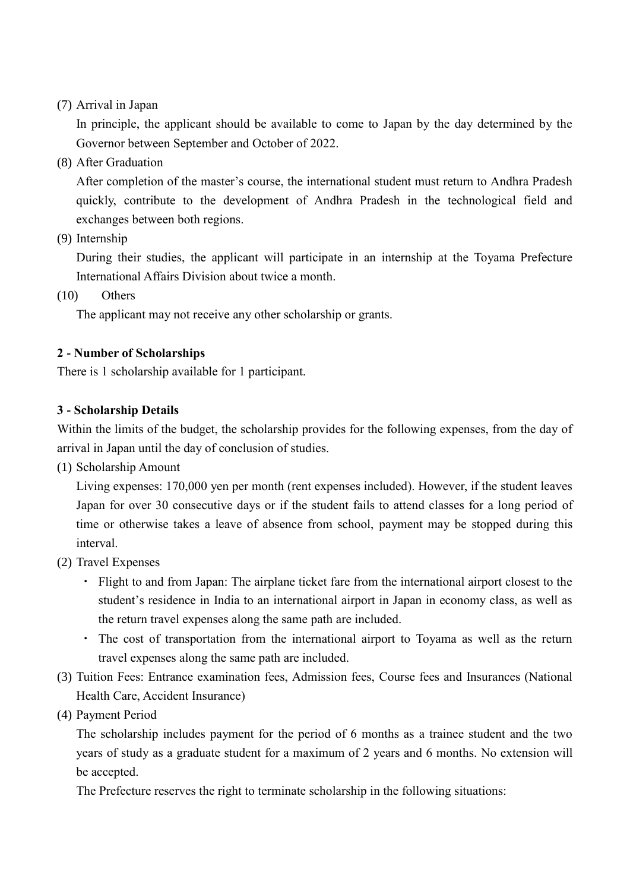(7) Arrival in Japan

In principle, the applicant should be available to come to Japan by the day determined by the Governor between September and October of 2022.

(8) After Graduation

After completion of the master's course, the international student must return to Andhra Pradesh quickly, contribute to the development of Andhra Pradesh in the technological field and exchanges between both regions.

(9) Internship

During their studies, the applicant will participate in an internship at the Toyama Prefecture International Affairs Division about twice a month.

(10) Others

The applicant may not receive any other scholarship or grants.

# **2 - Number of Scholarships**

There is 1 scholarship available for 1 participant.

### **3 - Scholarship Details**

Within the limits of the budget, the scholarship provides for the following expenses, from the day of arrival in Japan until the day of conclusion of studies.

(1) Scholarship Amount

Living expenses: 170,000 yen per month (rent expenses included). However, if the student leaves Japan for over 30 consecutive days or if the student fails to attend classes for a long period of time or otherwise takes a leave of absence from school, payment may be stopped during this interval.

- (2) Travel Expenses
	- ・ Flight to and from Japan: The airplane ticket fare from the international airport closest to the student's residence in India to an international airport in Japan in economy class, as well as the return travel expenses along the same path are included.
	- ・ The cost of transportation from the international airport to Toyama as well as the return travel expenses along the same path are included.
- (3) Tuition Fees: Entrance examination fees, Admission fees, Course fees and Insurances (National Health Care, Accident Insurance)
- (4) Payment Period

The scholarship includes payment for the period of 6 months as a trainee student and the two years of study as a graduate student for a maximum of 2 years and 6 months. No extension will be accepted.

The Prefecture reserves the right to terminate scholarship in the following situations: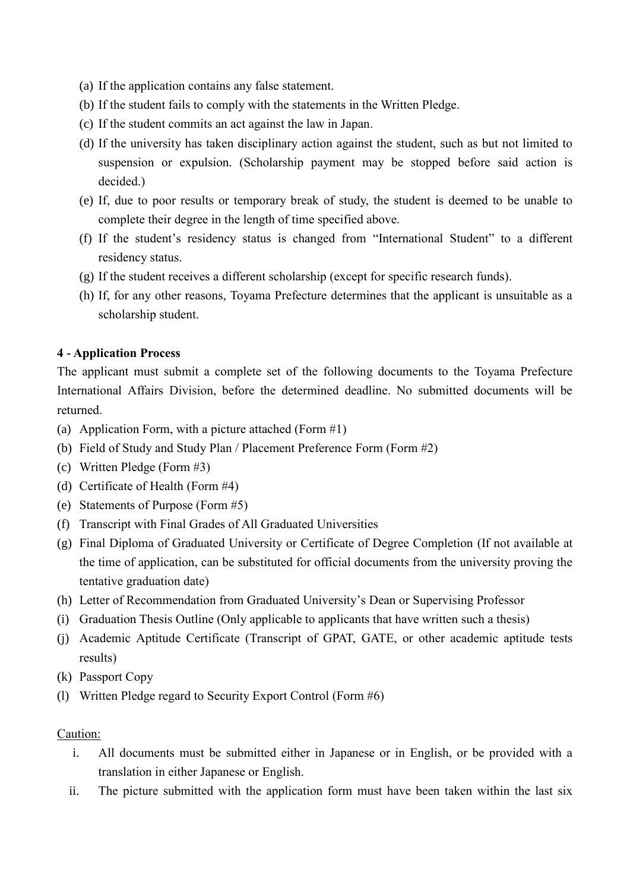- (a) If the application contains any false statement.
- (b) If the student fails to comply with the statements in the Written Pledge.
- (c) If the student commits an act against the law in Japan.
- (d) If the university has taken disciplinary action against the student, such as but not limited to suspension or expulsion. (Scholarship payment may be stopped before said action is decided.)
- (e) If, due to poor results or temporary break of study, the student is deemed to be unable to complete their degree in the length of time specified above.
- (f) If the student's residency status is changed from "International Student" to a different residency status.
- (g) If the student receives a different scholarship (except for specific research funds).
- (h) If, for any other reasons, Toyama Prefecture determines that the applicant is unsuitable as a scholarship student.

### **4 - Application Process**

The applicant must submit a complete set of the following documents to the Toyama Prefecture International Affairs Division, before the determined deadline. No submitted documents will be returned.

- (a) Application Form, with a picture attached (Form #1)
- (b) Field of Study and Study Plan / Placement Preference Form (Form #2)
- (c) Written Pledge (Form #3)
- (d) Certificate of Health (Form #4)
- (e) Statements of Purpose (Form #5)
- (f) Transcript with Final Grades of All Graduated Universities
- (g) Final Diploma of Graduated University or Certificate of Degree Completion (If not available at the time of application, can be substituted for official documents from the university proving the tentative graduation date)
- (h) Letter of Recommendation from Graduated University's Dean or Supervising Professor
- (i) Graduation Thesis Outline (Only applicable to applicants that have written such a thesis)
- (j) Academic Aptitude Certificate (Transcript of GPAT, GATE, or other academic aptitude tests results)
- (k) Passport Copy
- (l) Written Pledge regard to Security Export Control (Form #6)

#### Caution:

- i. All documents must be submitted either in Japanese or in English, or be provided with a translation in either Japanese or English.
- ii. The picture submitted with the application form must have been taken within the last six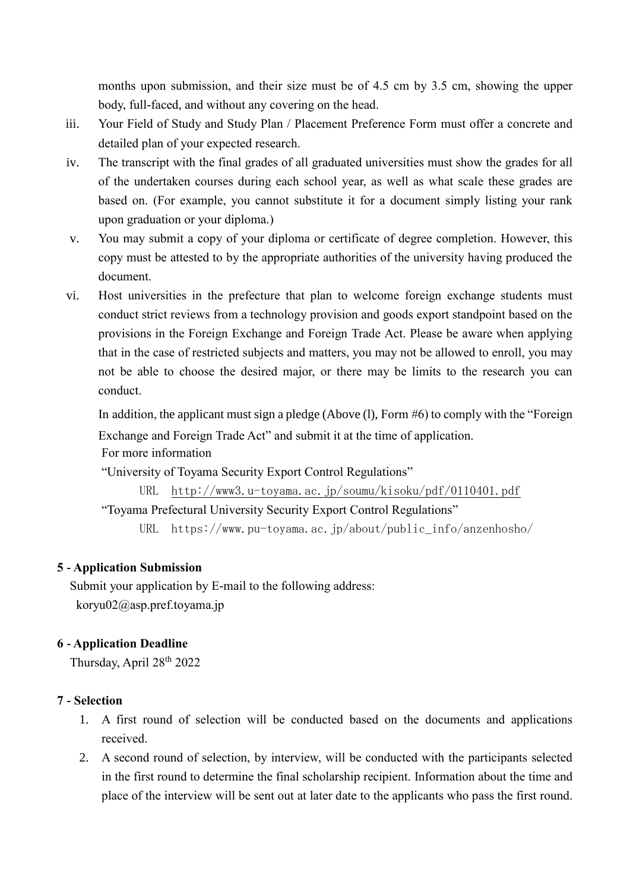months upon submission, and their size must be of 4.5 cm by 3.5 cm, showing the upper body, full-faced, and without any covering on the head.

- iii. Your Field of Study and Study Plan / Placement Preference Form must offer a concrete and detailed plan of your expected research.
- iv. The transcript with the final grades of all graduated universities must show the grades for all of the undertaken courses during each school year, as well as what scale these grades are based on. (For example, you cannot substitute it for a document simply listing your rank upon graduation or your diploma.)
- v. You may submit a copy of your diploma or certificate of degree completion. However, this copy must be attested to by the appropriate authorities of the university having produced the document.
- vi. Host universities in the prefecture that plan to welcome foreign exchange students must conduct strict reviews from a technology provision and goods export standpoint based on the provisions in the Foreign Exchange and Foreign Trade Act. Please be aware when applying that in the case of restricted subjects and matters, you may not be allowed to enroll, you may not be able to choose the desired major, or there may be limits to the research you can conduct.

In addition, the applicant must sign a pledge (Above (1), Form #6) to comply with the "Foreign

Exchange and Foreign Trade Act" and submit it at the time of application.

For more information

"University of Toyama Security Export Control Regulations"

URL <http://www3.u-toyama.ac.jp/soumu/kisoku/pdf/0110401.pdf> "Toyama Prefectural University Security Export Control Regulations" URL https://www.pu-toyama.ac.jp/about/public\_info/anzenhosho/

# **5 - Application Submission**

Submit your application by E-mail to the following address: koryu02@asp.pref.toyama.jp

# **6 - Application Deadline**

Thursday, April 28th 2022

# **7 - Selection**

- 1. A first round of selection will be conducted based on the documents and applications received.
- 2. A second round of selection, by interview, will be conducted with the participants selected in the first round to determine the final scholarship recipient. Information about the time and place of the interview will be sent out at later date to the applicants who pass the first round.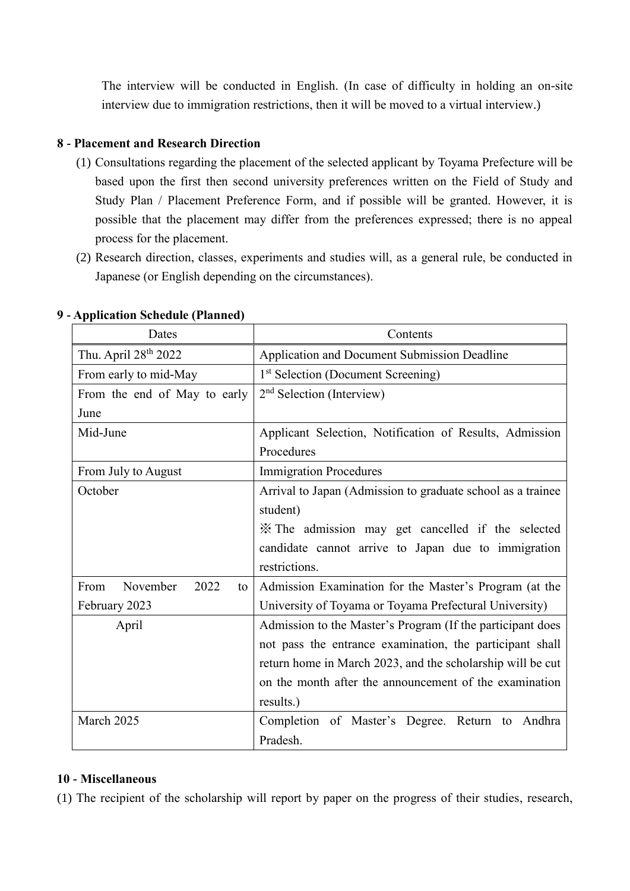The interview will be conducted in English. (In case of difficulty in holding an on-site interview due to immigration restrictions, then it will be moved to a virtual interview.)

# **8 - Placement and Research Direction**

- (1) Consultations regarding the placement of the selected applicant by Toyama Prefecture will be based upon the first then second university preferences written on the Field of Study and Study Plan / Placement Preference Form, and if possible will be granted. However, it is possible that the placement may differ from the preferences expressed; there is no appeal process for the placement.
- (2) Research direction, classes, experiments and studies will, as a general rule, be conducted in Japanese (or English depending on the circumstances).

| Dates                          | Contents                                                    |
|--------------------------------|-------------------------------------------------------------|
| Thu. April 28th 2022           | Application and Document Submission Deadline                |
| From early to mid-May          | 1 <sup>st</sup> Selection (Document Screening)              |
| From the end of May to early   | $2nd$ Selection (Interview)                                 |
| June                           |                                                             |
| Mid-June                       | Applicant Selection, Notification of Results, Admission     |
|                                | Procedures                                                  |
| From July to August            | <b>Immigration Procedures</b>                               |
| October                        | Arrival to Japan (Admission to graduate school as a trainee |
|                                | student)                                                    |
|                                | X The admission may get cancelled if the selected           |
|                                | candidate cannot arrive to Japan due to immigration         |
|                                | restrictions.                                               |
| From<br>November<br>2022<br>to | Admission Examination for the Master's Program (at the      |
| February 2023                  | University of Toyama or Toyama Prefectural University)      |
| April                          | Admission to the Master's Program (If the participant does  |
|                                | not pass the entrance examination, the participant shall    |
|                                | return home in March 2023, and the scholarship will be cut  |
|                                | on the month after the announcement of the examination      |
|                                | results.)                                                   |
| March 2025                     | Completion of Master's Degree. Return to Andhra             |
|                                | Pradesh.                                                    |

### **9 - Application Schedule (Planned)**

# **10 - Miscellaneous**

(1) The recipient of the scholarship will report by paper on the progress of their studies, research,